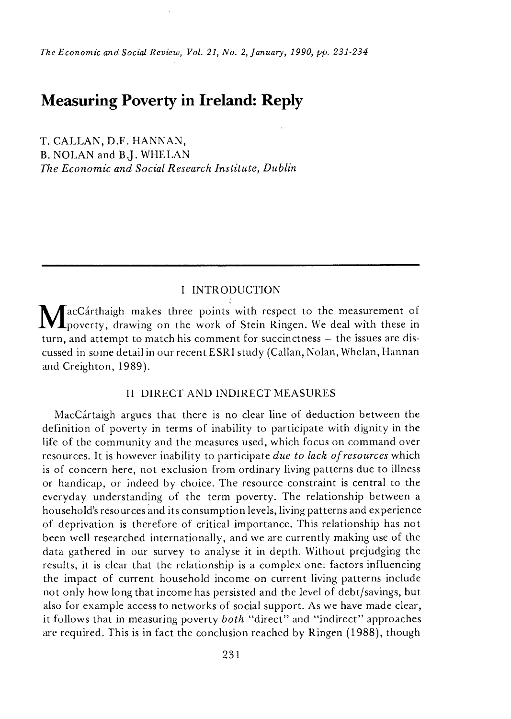*The Economic and Social Review, Vol. 21, No. 2, January, 1990, pp. 231-234* 

# **Measuring Poverty in Ireland: Reply**

T. CALLAN, D.F. HANNAN, B. NOLAN and B.J. WHELAN *The Economic and Social Research Institute, Dublin* 

## I INTRODUCTION

 $M$ acCárthaigh makes three points with respect to the measurement of poverty, drawing on the work of Stein Ringen. We deal with these in turn, and attempt to match his comment for succinctness — the issues are discussed in some detail in our recent ESR1 study (Callan, Nolan, Whelan, Hannan and Creighton, 1989).

## II DIRECT AND INDIRECT MEASURES

MacCartaigh argues that there is no clear line of deduction between the definition of poverty in terms of inability to participate with dignity in the life of the community and the measures used, which focus on command over resources. It is however inability to participate *due to lack of resources* which is of concern here, not exclusion from ordinary living patterns due to illness or handicap, or indeed by choice. The resource constraint is central to the everyday understanding of the term poverty. The relationship between a household's resources and its consumption levels, living patterns and experience of deprivation is therefore of critical importance. This relationship has not been well researched internationally, and we are currently making use of the data gathered in our survey to analyse it in depth. Without prejudging the results, it is clear that the relationship is a complex one: factors influencing the impact of current household income on current living patterns include not only how long that income has persisted and the level of debt/savings, but also for example access to networks of social support. As we have made clear, it follows that in measuring poverty *both* "direct " and "indirect " approaches are required. This is in fact the conclusion reached by Ringen (1988), though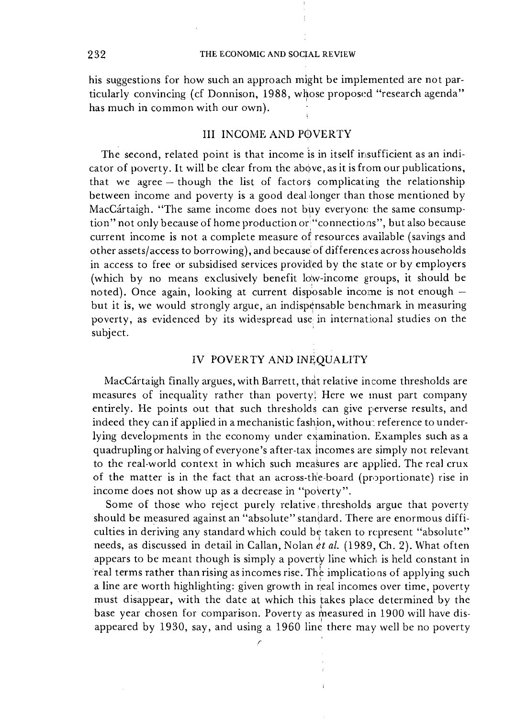his suggestions for how such an approach might be implemented are not particularly convincing (cf Donnison, 1988, whose proposed "research agenda" has much in common with our own).

### III INCOME AND POVERTY

The second, related point is that income is in itself insufficient as an indicator of poverty. It will be clear from the above, as it is from our publications, that we agree — though the list of factors complicating the relationship between income and poverty is a good deal longer than those mentioned by MacCartaigh. "The same income does not buy everyone the same consumption" not only because of home production or "connections", but also because current income is not a complete measure of resources available (savings and other assets/access to borrowing), and because of differences across households in access to free or subsidised services provided by the state or by employers (which by no means exclusively benefit low-income groups, it should be noted). Once again, looking at current disposable income is not enough but it is, we would strongly argue, an indispensable benchmark in measuring poverty, as evidenced by its widespread use in international studies on the subject.

## IV POVERTY AND INEQUALITY

MacCártaigh finally argues, with Barrett, that relative income thresholds are measures of inequality rather than poverty! Here we must part company entirely. He points out that such thresholds can give perverse results, and indeed they can if applied in a mechanistic fashion, withou: reference to underlying developments in the economy under examination. Examples such as a quadrupling or halving of everyone's after-tax incomes are simply not relevant to the real-world context in which such measures are applied. The real crux of the matter is in the fact that an across-the-board (proportionate) rise in income does not show up as a decrease in "poverty".

Some of those who reject purely relative, thresholds argue that poverty should be measured against an "absolute" standard. There are enormous difficulties in deriving any standard which could be taken to represent "absolute" needs, as discussed in detail in Callan, Nolan *et al.* (1989, Ch. 2). What often appears to be meant though is simply a poverty line which is held constant in real terms rather than rising as incomes rise. The implications of applying such a line are worth highlighting: given growth in real incomes over time, poverty must disappear, with the date at which this takes place determined by the base year chosen for comparison. Poverty as measured in 1900 will have disappeared by 1930, say, and using a 1960 line there may well be no poverty

*r*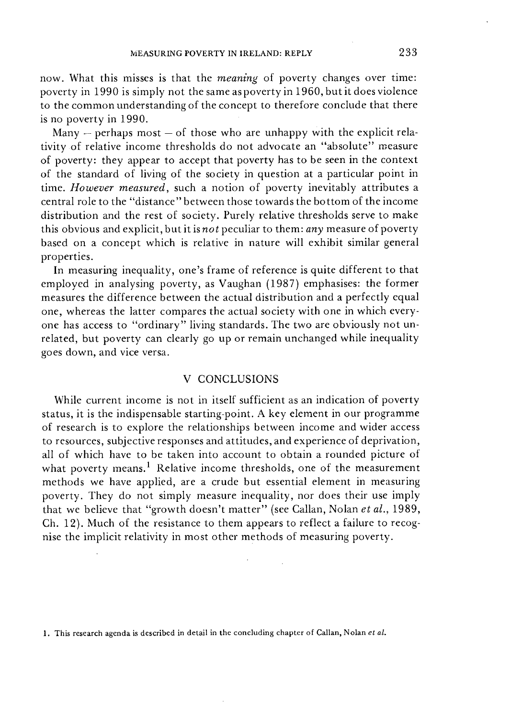now. What this misses is that the *meaning* of poverty changes over time: poverty in 1990 is simply not the same as poverty in 1960, but it does violence to the common understanding of the concept to therefore conclude that there is no poverty in 1990.

Many  $-$  perhaps most  $-$  of those who are unhappy with the explicit relativity of relative income thresholds do not advocate an "absolute" measure of poverty: they appear to accept that poverty has to be seen in the context of the standard of living of the society in question at a particular point in time. *However measured,* such a notion of poverty inevitably attributes a central role to the "distance" between those towards the bottom of the income distribution and the rest of society. Purely relative thresholds serve to make this obvious and explicit, but it *isnot* peculiar to them: *any* measure of poverty based on a concept which is relative in nature will exhibit similar general properties.

In measuring inequality, one's frame of reference is quite different to that employed in analysing poverty, as Vaughan (1987) emphasises: the former measures the difference between the actual distribution and a perfectly equal one, whereas the latter compares the actual society with one in which everyone has access to "ordinary" living standards. The two are obviously not unrelated, but poverty can clearly go up or remain unchanged while inequality goes down, and vice versa.

## V CONCLUSIONS

While current income is not in itself sufficient as an indication of poverty status, it is the indispensable starting-point. A key element in our programme of research is to explore the relationships between income and wider access to resources, subjective responses and attitudes, and experience of deprivation, all of which have to be taken into account to obtain a rounded picture of what poverty means.<sup>1</sup> Relative income thresholds, one of the measurement methods we have applied, are a crude but essential element in measuring poverty. They do not simply measure inequality, nor does their use imply that we believe that "growth doesn't matter " (see Callan, Nolan *et al.,* 1989, Ch. 12). Much of the resistance to them appears to reflect a failure to recognise the implicit relativity in most other methods of measuring poverty.

**<sup>1.</sup> This research agenda is described in detail in the concluding chapter of Callan, Nolan** *et al.*